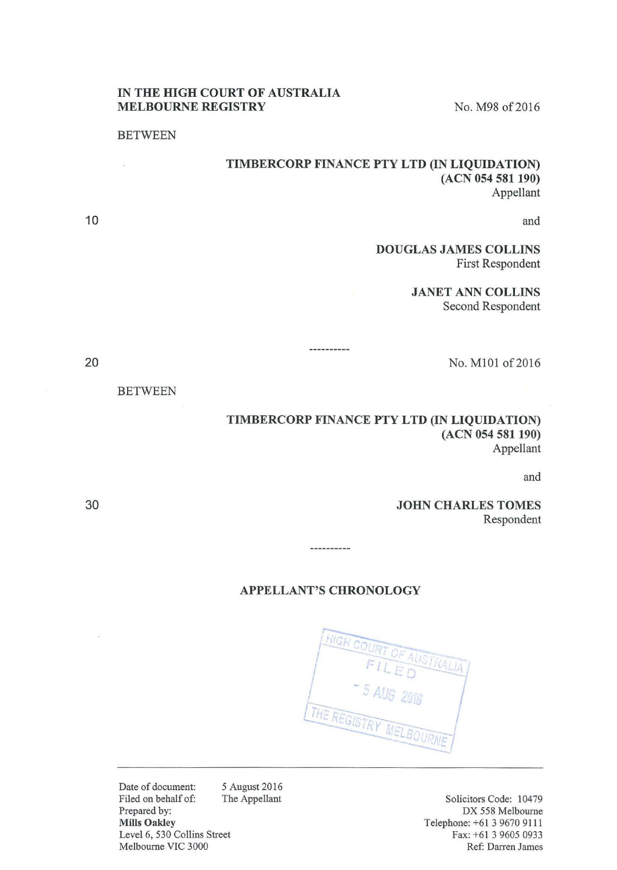#### IN THE HIGH COURT OF AUSTRALIA MELBOURNE REGISTRY No. M98 of 2016

#### **BETWEEN**

BETWEEN

## TIMBERCORP FINANCE PTY LTD (IN LIQUIDATION) (ACN 054 581 190) Appellant

and

DOUGLAS JAMES COLLINS First Respondent

> JANET ANN COLLINS Second Respondent

> > No. MlOl of2016

## TIMBERCORP FINANCE PTY LTD (IN LIQUIDATION) (ACN 054 581 190) Appellant

and

JOHN CHARLES TOMES Respondent

### APPELLANT'S CHRONOLOGY

----------

----------

TRAITA THE REGISTRY

Date of document: Filed on behalf of: Prepared by: Mills Oakley 5 August 2016 The Appellant Level 6, 530 Collins Street Melbourne VIC 3000

Solicitors Code: 10479 DX 558 Melbourne Telephone: +61 3 9670 9111 Fax: +61 3 9605 0933 Ref: Darren James

30

10

20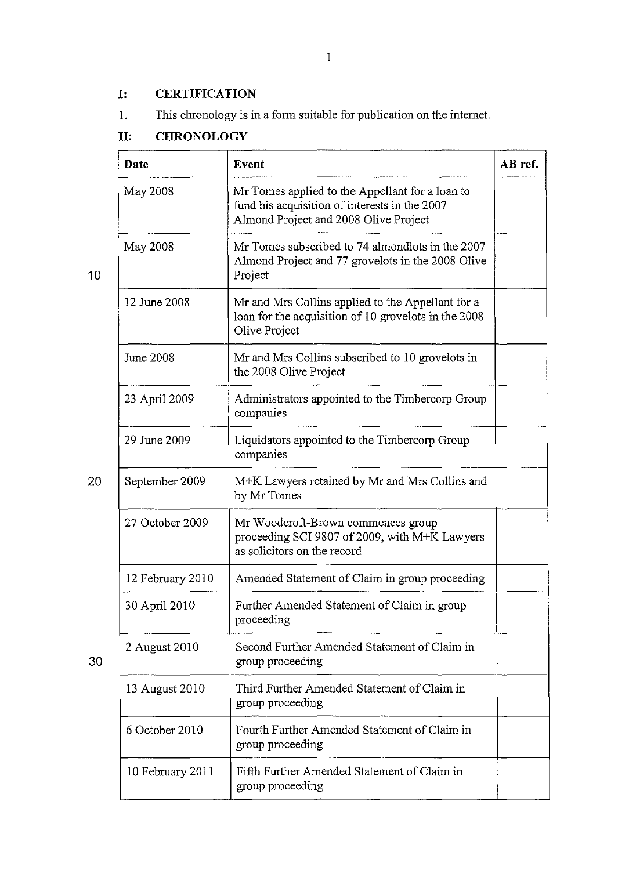# **1: CERTIFICATION**

1. This chronology is in a form suitable for publication on the intemet.

# **11: CHRONOLOGY**

|    | Date             | <b>Event</b>                                                                                                                              | AB ref. |
|----|------------------|-------------------------------------------------------------------------------------------------------------------------------------------|---------|
|    | May 2008         | Mr Tomes applied to the Appellant for a loan to<br>fund his acquisition of interests in the 2007<br>Almond Project and 2008 Olive Project |         |
| 10 | May 2008         | Mr Tomes subscribed to 74 almondlots in the 2007<br>Almond Project and 77 grovelots in the 2008 Olive<br>Project                          |         |
|    | 12 June 2008     | Mr and Mrs Collins applied to the Appellant for a<br>loan for the acquisition of 10 grovelots in the 2008<br>Olive Project                |         |
|    | June 2008        | Mr and Mrs Collins subscribed to 10 grovelots in<br>the 2008 Olive Project                                                                |         |
|    | 23 April 2009    | Administrators appointed to the Timbercorp Group<br>companies                                                                             |         |
|    | 29 June 2009     | Liquidators appointed to the Timbercorp Group<br>companies                                                                                |         |
| 20 | September 2009   | M+K Lawyers retained by Mr and Mrs Collins and<br>by Mr Tomes                                                                             |         |
|    | 27 October 2009  | Mr Woodcroft-Brown commences group<br>proceeding SCI 9807 of 2009, with M+K Lawyers<br>as solicitors on the record                        |         |
|    | 12 February 2010 | Amended Statement of Claim in group proceeding                                                                                            |         |
|    | 30 April 2010    | Further Amended Statement of Claim in group<br>proceeding                                                                                 |         |
| 30 | 2 August 2010    | Second Further Amended Statement of Claim in<br>group proceeding                                                                          |         |
|    | 13 August 2010   | Third Further Amended Statement of Claim in<br>group proceeding                                                                           |         |
|    | 6 October 2010   | Fourth Further Amended Statement of Claim in<br>group proceeding                                                                          |         |
|    | 10 February 2011 | Fifth Further Amended Statement of Claim in<br>group proceeding                                                                           |         |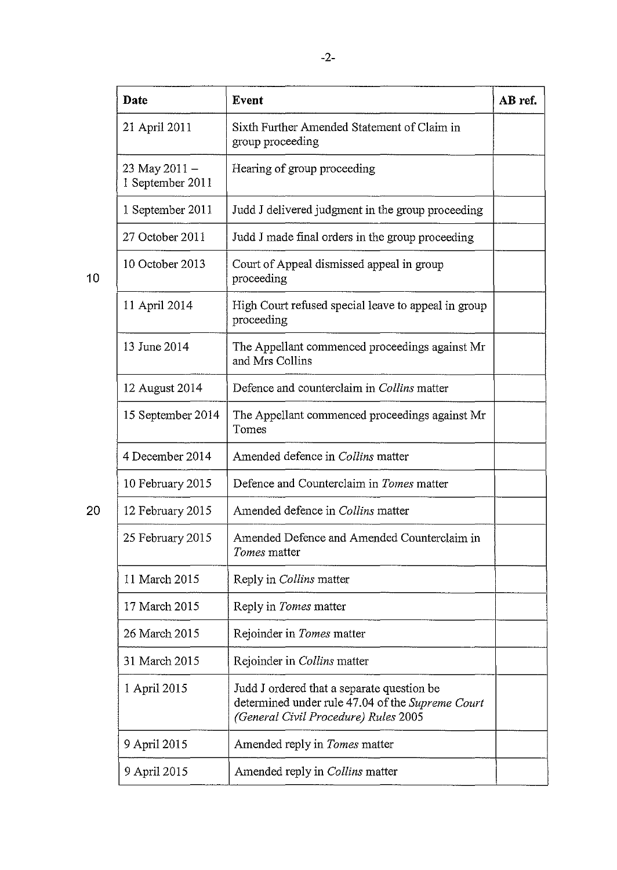|    | Date                              | Event                                                                                                                                  | AB ref. |
|----|-----------------------------------|----------------------------------------------------------------------------------------------------------------------------------------|---------|
|    | 21 April 2011                     | Sixth Further Amended Statement of Claim in<br>group proceeding                                                                        |         |
|    | 23 May 2011 -<br>1 September 2011 | Hearing of group proceeding                                                                                                            |         |
|    | 1 September 2011                  | Judd J delivered judgment in the group proceeding                                                                                      |         |
|    | 27 October 2011                   | Judd J made final orders in the group proceeding                                                                                       |         |
| 10 | 10 October 2013                   | Court of Appeal dismissed appeal in group<br>proceeding                                                                                |         |
|    | 11 April 2014                     | High Court refused special leave to appeal in group<br>proceeding                                                                      |         |
|    | 13 June 2014                      | The Appellant commenced proceedings against Mr<br>and Mrs Collins                                                                      |         |
|    | 12 August 2014                    | Defence and counterclaim in Collins matter                                                                                             |         |
|    | 15 September 2014                 | The Appellant commenced proceedings against Mr<br>Tomes                                                                                |         |
|    | 4 December 2014                   | Amended defence in Collins matter                                                                                                      |         |
|    | 10 February 2015                  | Defence and Counterclaim in Tomes matter                                                                                               |         |
| 20 | 12 February 2015                  | Amended defence in Collins matter                                                                                                      |         |
|    | 25 February 2015                  | Amended Defence and Amended Counterclaim in<br>Tomes matter                                                                            |         |
|    | 11 March 2015                     | Reply in <i>Collins</i> matter                                                                                                         |         |
|    | 17 March 2015                     | Reply in Tomes matter                                                                                                                  |         |
|    | 26 March 2015                     | Rejoinder in Tomes matter                                                                                                              |         |
|    | 31 March 2015                     | Rejoinder in Collins matter                                                                                                            |         |
|    | 1 April 2015                      | Judd J ordered that a separate question be<br>determined under rule 47.04 of the Supreme Court<br>(General Civil Procedure) Rules 2005 |         |
|    | 9 April 2015                      | Amended reply in Tomes matter                                                                                                          |         |
|    | 9 April 2015                      | Amended reply in Collins matter                                                                                                        |         |